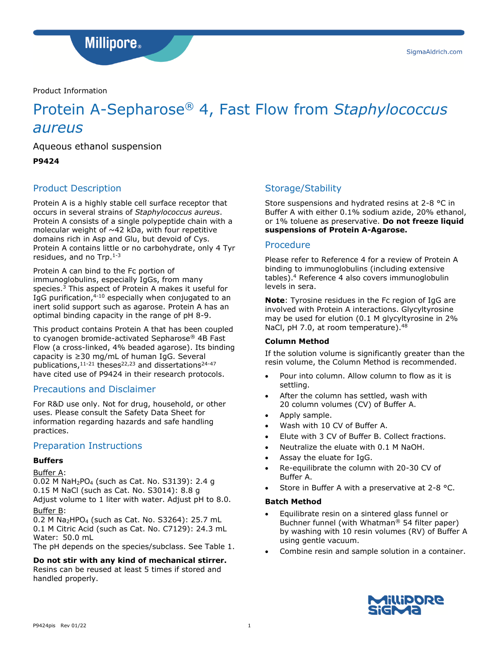SigmaAldrich.com

**Millipore**.

Product Information

# Protein A-Sepharose® 4, Fast Flow from *Staphylococcus aureus*

Aqueous ethanol suspension

**P9424**

# Product Description

Protein A is a highly stable cell surface receptor that occurs in several strains of *Staphylococcus aureus*. Protein A consists of a single polypeptide chain with a molecular weight of  $~12$  kDa, with four repetitive domains rich in Asp and Glu, but devoid of Cys. Protein A contains little or no carbohydrate, only 4 Tyr residues, and no Trp.<sup>1-3</sup>

Protein A can bind to the Fc portion of immunoglobulins, especially IgGs, from many species.<sup>3</sup> This aspect of Protein A makes it useful for IgG purification,<sup>4-10</sup> especially when conjugated to an inert solid support such as agarose. Protein A has an optimal binding capacity in the range of pH 8-9.

This product contains Protein A that has been coupled to cyanogen bromide-activated Sepharose® 4B Fast Flow (a cross-linked, 4% beaded agarose). Its binding capacity is ≥30 mg/mL of human IgG. Several publications, $11-21$  theses<sup>22,23</sup> and dissertations<sup>24-47</sup> have cited use of P9424 in their research protocols.

# Precautions and Disclaimer

For R&D use only. Not for drug, household, or other uses. Please consult the Safety Data Sheet for information regarding hazards and safe handling practices.

## Preparation Instructions

#### **Buffers**

#### Buffer A:

0.02 M NaH2PO<sup>4</sup> (such as Cat. No. S3139): 2.4 g 0.15 M NaCl (such as Cat. No. S3014): 8.8 g Adjust volume to 1 liter with water. Adjust pH to 8.0.

#### Buffer B:

0.2 M Na<sub>2</sub>HPO<sub>4</sub> (such as Cat. No. S3264): 25.7 mL 0.1 M Citric Acid (such as Cat. No. C7129): 24.3 mL Water: 50.0 mL

The pH depends on the species/subclass. See Table 1.

#### **Do not stir with any kind of mechanical stirrer.**

Resins can be reused at least 5 times if stored and handled properly.

# Storage/Stability

Store suspensions and hydrated resins at 2-8 °C in Buffer A with either 0.1% sodium azide, 20% ethanol, or 1% toluene as preservative. **Do not freeze liquid suspensions of Protein A-Agarose.**

#### Procedure

Please refer to Reference 4 for a review of Protein A binding to immunoglobulins (including extensive tables).<sup>4</sup> Reference 4 also covers immunoglobulin levels in sera.

**Note**: Tyrosine residues in the Fc region of IgG are involved with Protein A interactions. Glycyltyrosine may be used for elution (0.1 M glycyltyrosine in 2% NaCl, pH 7.0, at room temperature).<sup>48</sup>

#### **Column Method**

If the solution volume is significantly greater than the resin volume, the Column Method is recommended.

- Pour into column. Allow column to flow as it is settling.
- After the column has settled, wash with 20 column volumes (CV) of Buffer A.
- Apply sample.
- Wash with 10 CV of Buffer A.
- Elute with 3 CV of Buffer B. Collect fractions.
- Neutralize the eluate with 0.1 M NaOH.
- Assay the eluate for IgG.
- Re-equilibrate the column with 20-30 CV of Buffer A.
- Store in Buffer A with a preservative at 2-8 °C.

#### **Batch Method**

- Equilibrate resin on a sintered glass funnel or Buchner funnel (with Whatman® 54 filter paper) by washing with 10 resin volumes (RV) of Buffer A using gentle vacuum.
- Combine resin and sample solution in a container.

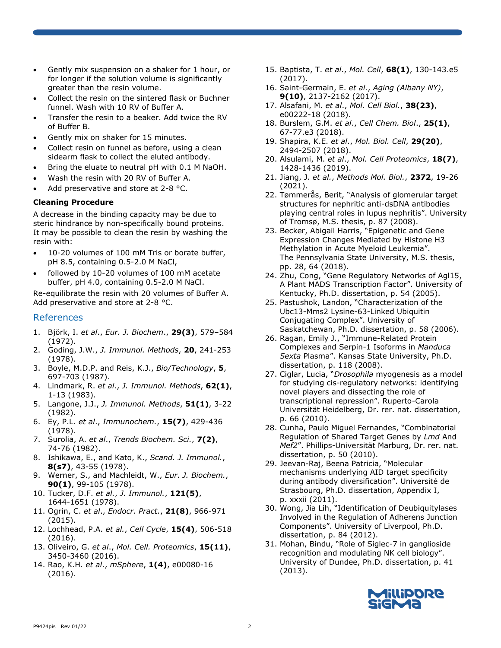- Gently mix suspension on a shaker for 1 hour, or for longer if the solution volume is significantly greater than the resin volume.
- Collect the resin on the sintered flask or Buchner funnel. Wash with 10 RV of Buffer A.
- Transfer the resin to a beaker. Add twice the RV of Buffer B.
- Gently mix on shaker for 15 minutes.
- Collect resin on funnel as before, using a clean sidearm flask to collect the eluted antibody.
- Bring the eluate to neutral pH with 0.1 M NaOH.
- Wash the resin with 20 RV of Buffer A.
- Add preservative and store at 2-8 °C.

#### **Cleaning Procedure**

A decrease in the binding capacity may be due to steric hindrance by non-specifically bound proteins. It may be possible to clean the resin by washing the resin with:

- 10-20 volumes of 100 mM Tris or borate buffer, pH 8.5, containing 0.5-2.0 M NaCl,
- followed by 10-20 volumes of 100 mM acetate buffer, pH 4.0, containing 0.5-2.0 M NaCl.

Re-equilibrate the resin with 20 volumes of Buffer A. Add preservative and store at 2-8 °C.

#### References

- 1. Björk, I. *et al*., *Eur. J. Biochem*., **29(3)**, 579–584 (1972).
- 2. Goding, J.W., *J. Immunol. Methods*, **20**, 241-253 (1978).
- 3. Boyle, M.D.P. and Reis, K.J., *Bio/Technology*, **5**, 697-703 (1987).
- 4. Lindmark, R. *et al*., *J. Immunol. Methods*, **62(1)**, 1-13 (1983).
- 5. Langone, J.J., *J. Immunol. Methods*, **51(1)**, 3-22 (1982).
- 6. Ey, P.L. *et al*., *Immunochem.*, **15(7)**, 429-436 (1978).
- 7. Surolia, A. *et al*., *Trends Biochem. Sci.*, **7(2)**, 74-76 (1982).
- 8. Ishikawa, E., and Kato, K., *Scand. J. Immunol.*, **8(s7)**, 43-55 (1978).
- 9. Werner, S., and Machleidt, W., *Eur. J. Biochem.*, **90(1)**, 99-105 (1978).
- 10. Tucker, D.F. *et al.*, *J. Immunol.*, **121(5)**, 1644-1651 (1978).
- 11. Ogrin, C. *et al*., *Endocr. Pract.*, **21(8)**, 966-971 (2015).
- 12. Lochhead, P.A. *et al.*, *Cell Cycle*, **15(4)**, 506-518 (2016).
- 13. Oliveiro, G. *et al*., *Mol. Cell. Proteomics*, **15(11)**, 3450-3460 (2016).
- 14. Rao, K.H. *et al*., *mSphere*, **1(4)**, e00080-16 (2016).
- 15. Baptista, T. *et al*., *Mol. Cell*, **68(1)**, 130-143.e5 (2017).
- 16. Saint-Germain, E. *et al.*, *Aging (Albany NY)*, **9(10)**, 2137-2162 (2017).
- 17. Alsafani, M. *et al*., *Mol. Cell Biol.*, **38(23)**, e00222-18 (2018).
- 18. Burslem, G.M. *et al*., *Cell Chem. Biol*., **25(1)**, 67-77.e3 (2018).
- 19. Shapira, K.E. *et al*., *Mol. Biol. Cell*, **29(20)**, 2494-2507 (2018).
- 20. Alsulami, M. *et al*., *Mol. Cell Proteomics*, **18(7)**, 1428-1436 (2019).
- 21. Jiang, J. *et al.*, *Methods Mol. Biol.*, **2372**, 19-26 (2021).
- 22. Tømmerås, Berit, "Analysis of glomerular target structures for nephritic anti-dsDNA antibodies playing central roles in lupus nephritis". University of Tromsø, M.S. thesis, p. 87 (2008).
- 23. Becker, Abigail Harris, "Epigenetic and Gene Expression Changes Mediated by Histone H3 Methylation in Acute Myeloid Leukemia". The Pennsylvania State University, M.S. thesis, pp. 28, 64 (2018).
- 24. Zhu, Cong, "Gene Regulatory Networks of Agl15, A Plant MADS Transcription Factor". University of Kentucky, Ph.D. dissertation, p. 54 (2005).
- 25. Pastushok, Landon, "Characterization of the Ubc13-Mms2 Lysine-63-Linked Ubiquitin Conjugating Complex". University of Saskatchewan, Ph.D. dissertation, p. 58 (2006).
- 26. Ragan, Emily J., "Immune-Related Protein Complexes and Serpin-1 Isoforms in *Manduca Sexta* Plasma". Kansas State University, Ph.D. dissertation, p. 118 (2008).
- 27. Ciglar, Lucia, "*Drosophila* myogenesis as a model for studying cis-regulatory networks: identifying novel players and dissecting the role of transcriptional repression". Ruperto-Carola Universität Heidelberg, Dr. rer. nat. dissertation, p. 66 (2010).
- 28. Cunha, Paulo Miguel Fernandes, "Combinatorial Regulation of Shared Target Genes by *Lmd* And *Mef2*". Phillips-Universität Marburg, Dr. rer. nat. dissertation, p. 50 (2010).
- 29. Jeevan-Raj, Beena Patricia, "Molecular mechanisms underlying AID target specificity during antibody diversification". Université de Strasbourg, Ph.D. dissertation, Appendix I, p. xxxii (2011).
- 30. Wong, Jia Lih, "Identification of Deubiquitylases Involved in the Regulation of Adherens Junction Components". University of Liverpool, Ph.D. dissertation, p. 84 (2012).
- 31. Mohan, Bindu, "Role of Siglec-7 in ganglioside recognition and modulating NK cell biology". University of Dundee, Ph.D. dissertation, p. 41 (2013).

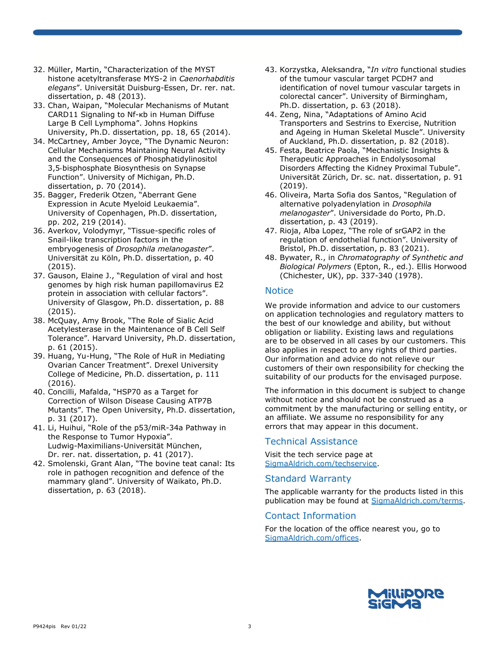- 32. Müller, Martin, "Characterization of the MYST histone acetyltransferase MYS-2 in *Caenorhabditis elegans*". Universität Duisburg-Essen, Dr. rer. nat. dissertation, p. 48 (2013).
- 33. Chan, Waipan, "Molecular Mechanisms of Mutant CARD11 Signaling to Nf-κb in Human Diffuse Large B Cell Lymphoma". Johns Hopkins University, Ph.D. dissertation, pp. 18, 65 (2014).
- 34. McCartney, Amber Joyce, "The Dynamic Neuron: Cellular Mechanisms Maintaining Neural Activity and the Consequences of Phosphatidylinositol 3,5‐bisphosphate Biosynthesis on Synapse Function". University of Michigan, Ph.D. dissertation, p. 70 (2014).
- 35. Bagger, Frederik Otzen, "Aberrant Gene Expression in Acute Myeloid Leukaemia". University of Copenhagen, Ph.D. dissertation, pp. 202, 219 (2014).
- 36. Averkov, Volodymyr, "Tissue-specific roles of Snail-like transcription factors in the embryogenesis of *Drosophila melanogaster*". Universität zu Köln, Ph.D. dissertation, p. 40 (2015).
- 37. Gauson, Elaine J., "Regulation of viral and host genomes by high risk human papillomavirus E2 protein in association with cellular factors". University of Glasgow, Ph.D. dissertation, p. 88 (2015).
- 38. McQuay, Amy Brook, "The Role of Sialic Acid Acetylesterase in the Maintenance of B Cell Self Tolerance". Harvard University, Ph.D. dissertation, p. 61 (2015).
- 39. Huang, Yu-Hung, "The Role of HuR in Mediating Ovarian Cancer Treatment". Drexel University College of Medicine, Ph.D. dissertation, p. 111 (2016).
- 40. Concilli, Mafalda, "HSP70 as a Target for Correction of Wilson Disease Causing ATP7B Mutants". The Open University, Ph.D. dissertation, p. 31 (2017).
- 41. Li, Huihui, "Role of the p53/miR-34a Pathway in the Response to Tumor Hypoxia". Ludwig-Maximilians-Universität München, Dr. rer. nat. dissertation, p. 41 (2017).
- 42. Smolenski, Grant Alan, "The bovine teat canal: Its role in pathogen recognition and defence of the mammary gland". University of Waikato, Ph.D. dissertation, p. 63 (2018).
- 43. Korzystka, Aleksandra, "*In vitro* functional studies of the tumour vascular target PCDH7 and identification of novel tumour vascular targets in colorectal cancer". University of Birmingham, Ph.D. dissertation, p. 63 (2018).
- 44. Zeng, Nina, "Adaptations of Amino Acid Transporters and Sestrins to Exercise, Nutrition and Ageing in Human Skeletal Muscle". University of Auckland, Ph.D. dissertation, p. 82 (2018).
- 45. Festa, Beatrice Paola, "Mechanistic Insights & Therapeutic Approaches in Endolysosomal Disorders Affecting the Kidney Proximal Tubule". Universität Zürich, Dr. sc. nat. dissertation, p. 91 (2019).
- 46. Oliveira, Marta Sofia dos Santos, "Regulation of alternative polyadenylation in *Drosophila melanogaster*". Universidade do Porto, Ph.D. dissertation, p. 43 (2019).
- 47. Rioja, Alba Lopez, "The role of srGAP2 in the regulation of endothelial function". University of Bristol, Ph.D. dissertation, p. 83 (2021).
- 48. Bywater, R., in *Chromatography of Synthetic and Biological Polymers* (Epton, R., ed.). Ellis Horwood (Chichester, UK), pp. 337-340 (1978).

## **Notice**

We provide information and advice to our customers on application technologies and regulatory matters to the best of our knowledge and ability, but without obligation or liability. Existing laws and regulations are to be observed in all cases by our customers. This also applies in respect to any rights of third parties. Our information and advice do not relieve our customers of their own responsibility for checking the suitability of our products for the envisaged purpose.

The information in this document is subject to change without notice and should not be construed as a commitment by the manufacturing or selling entity, or an affiliate. We assume no responsibility for any errors that may appear in this document.

## Technical Assistance

Visit the tech service page at SigmaAldrich.com/techservice.

## Standard Warranty

The applicable warranty for the products listed in this publication may be found at SigmaAldrich.com/terms.

## Contact Information

For the location of the office nearest you, go to SigmaAldrich.com/offices.